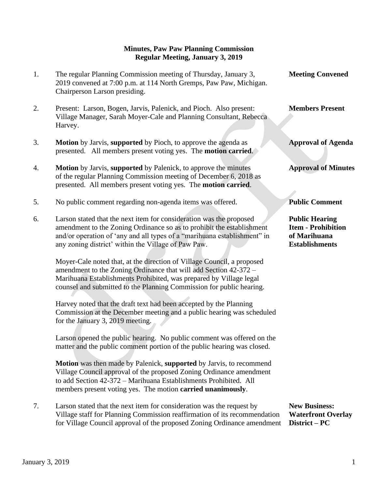## **Minutes, Paw Paw Planning Commission Regular Meeting, January 3, 2019**

- 1. The regular Planning Commission meeting of Thursday, January 3, **Meeting Convened** 2019 convened at 7:00 p.m. at 114 North Gremps, Paw Paw, Michigan. Chairperson Larson presiding.
- 2. Present: Larson, Bogen, Jarvis, Palenick, and Pioch. Also present: **Members Present** Village Manager, Sarah Moyer-Cale and Planning Consultant, Rebecca Harvey.
- 3. **Motion** by Jarvis, **supported** by Pioch, to approve the agenda as **Approval of Agenda** presented. All members present voting yes. The **motion carried**.
- 4. **Motion** by Jarvis, supported by Palenick, to approve the minutes **Approval of Minutes**  of the regular Planning Commission meeting of December 6, 2018 as presented. All members present voting yes. The **motion carried**.
- 5. No public comment regarding non-agenda items was offered. **Public Comment**
- 6. Larson stated that the next item for consideration was the proposed **Public Hearing** amendment to the Zoning Ordinance so as to prohibit the establishment **Item - Prohibition** and/or operation of 'any and all types of a "marihuana establishment" in **of Marihuana** any zoning district' within the Village of Paw Paw. **Establishments**

 Moyer-Cale noted that, at the direction of Village Council, a proposed amendment to the Zoning Ordinance that will add Section 42-372 – Marihuana Establishments Prohibited, was prepared by Village legal counsel and submitted to the Planning Commission for public hearing.

 Harvey noted that the draft text had been accepted by the Planning Commission at the December meeting and a public hearing was scheduled for the January 3, 2019 meeting.

 Larson opened the public hearing. No public comment was offered on the matter and the public comment portion of the public hearing was closed.

**Motion** was then made by Palenick, **supported** by Jarvis, to recommend Village Council approval of the proposed Zoning Ordinance amendment to add Section 42-372 – Marihuana Establishments Prohibited. All members present voting yes. The motion **carried unanimously**.

7. Larson stated that the next item for consideration was the request by **New Business:**  Village staff for Planning Commission reaffirmation of its recommendation **Waterfront Overlay** for Village Council approval of the proposed Zoning Ordinance amendment **District – PC**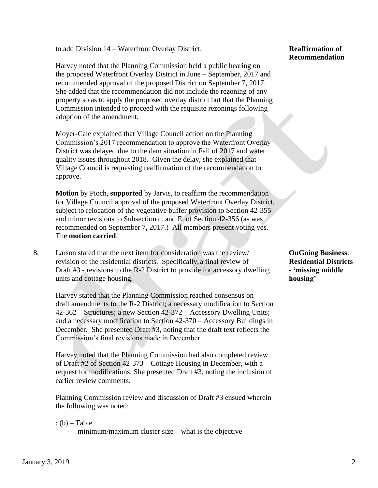to add Division 14 – Waterfront Overlay District. **Reaffirmation of**

Harvey noted that the Planning Commission held a public hearing on the proposed Waterfront Overlay District in June – September, 2017 and recommended approval of the proposed District on September 7, 2017. She added that the recommendation did not include the rezoning of any property so as to apply the proposed overlay district but that the Planning Commission intended to proceed with the requisite rezonings following adoption of the amendment.

Moyer-Cale explained that Village Council action on the Planning Commission's 2017 recommendation to approve the Waterfront Overlay District was delayed due to the dam situation in Fall of 2017 and water quality issues throughout 2018. Given the delay, she explained that Village Council is requesting reaffirmation of the recommendation to approve.

**Motion** by Pioch, **supported** by Jarvis, to reaffirm the recommendation for Village Council approval of the proposed Waterfront Overlay District, subject to relocation of the vegetative buffer provision to Section 42-355 and minor revisions to Subsection c. and E. of Section 42-356 (as was recommended on September 7, 2017.) All members present voting yes. The **motion carried**.

8. Larson stated that the next item for consideration was the review/ **OnGoing Business**: revision of the residential districts. Specifically, a final review of **Residential Districts** Draft #3 - revisions to the R-2 District to provide for accessory dwelling **- 'missing middle** units and cottage housing. **housing'**

 Harvey stated that the Planning Commission reached consensus on draft amendments to the R-2 District; a necessary modification to Section 42-362 – Structures; a new Section 42-372 – Accessory Dwelling Units; and a necessary modification to Section 42-370 – Accessory Buildings in December. She presented Draft #3, noting that the draft text reflects the Commission's final revisions made in December.

 Harvey noted that the Planning Commission had also completed review of Draft #2 of Section 42-373 – Cottage Housing in December, with a request for modifications. She presented Draft #3, noting the inclusion of earlier review comments.

 Planning Commission review and discussion of Draft #3 ensued wherein the following was noted:

:  $(b)$  – Table

- minimum/maximum cluster size – what is the objective

## **Recommendation**